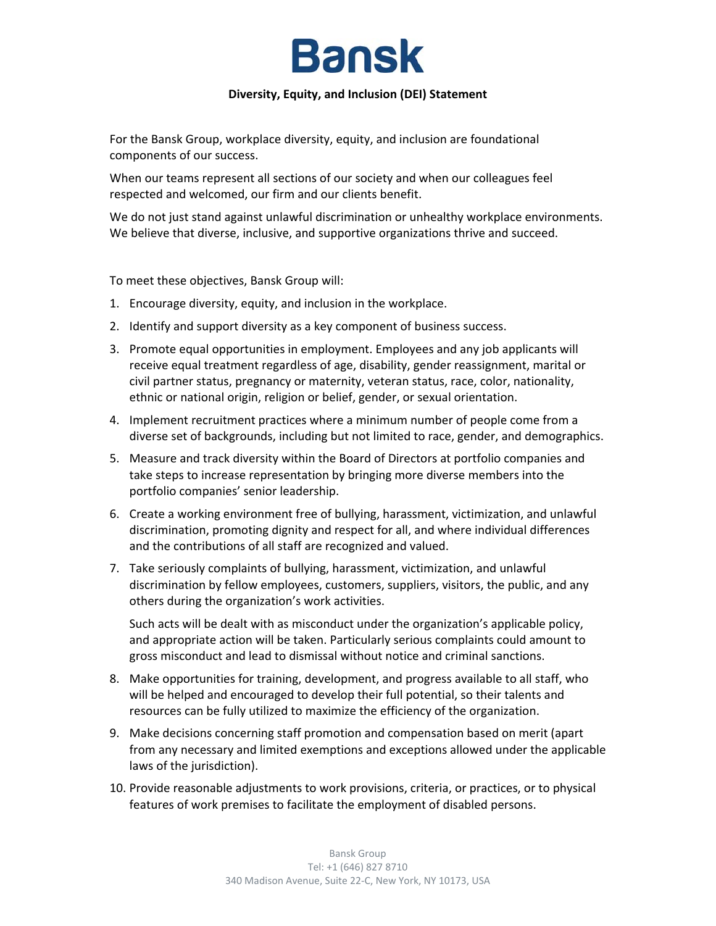## **Bansk**

## **Diversity, Equity, and Inclusion (DEI) Statement**

For the Bansk Group, workplace diversity, equity, and inclusion are foundational components of our success.

When our teams represent all sections of our society and when our colleagues feel respected and welcomed, our firm and our clients benefit.

We do not just stand against unlawful discrimination or unhealthy workplace environments. We believe that diverse, inclusive, and supportive organizations thrive and succeed.

To meet these objectives, Bansk Group will:

- 1. Encourage diversity, equity, and inclusion in the workplace.
- 2. Identify and support diversity as a key component of business success.
- 3. Promote equal opportunities in employment. Employees and any job applicants will receive equal treatment regardless of age, disability, gender reassignment, marital or civil partner status, pregnancy or maternity, veteran status, race, color, nationality, ethnic or national origin, religion or belief, gender, or sexual orientation.
- 4. Implement recruitment practices where a minimum number of people come from a diverse set of backgrounds, including but not limited to race, gender, and demographics.
- 5. Measure and track diversity within the Board of Directors at portfolio companies and take steps to increase representation by bringing more diverse members into the portfolio companies' senior leadership.
- 6. Create a working environment free of bullying, harassment, victimization, and unlawful discrimination, promoting dignity and respect for all, and where individual differences and the contributions of all staff are recognized and valued.
- 7. Take seriously complaints of bullying, harassment, victimization, and unlawful discrimination by fellow employees, customers, suppliers, visitors, the public, and any others during the organization's work activities.

Such acts will be dealt with as misconduct under the organization's applicable policy, and appropriate action will be taken. Particularly serious complaints could amount to gross misconduct and lead to dismissal without notice and criminal sanctions.

- 8. Make opportunities for training, development, and progress available to all staff, who will be helped and encouraged to develop their full potential, so their talents and resources can be fully utilized to maximize the efficiency of the organization.
- 9. Make decisions concerning staff promotion and compensation based on merit (apart from any necessary and limited exemptions and exceptions allowed under the applicable laws of the jurisdiction).
- 10. Provide reasonable adjustments to work provisions, criteria, or practices, or to physical features of work premises to facilitate the employment of disabled persons.